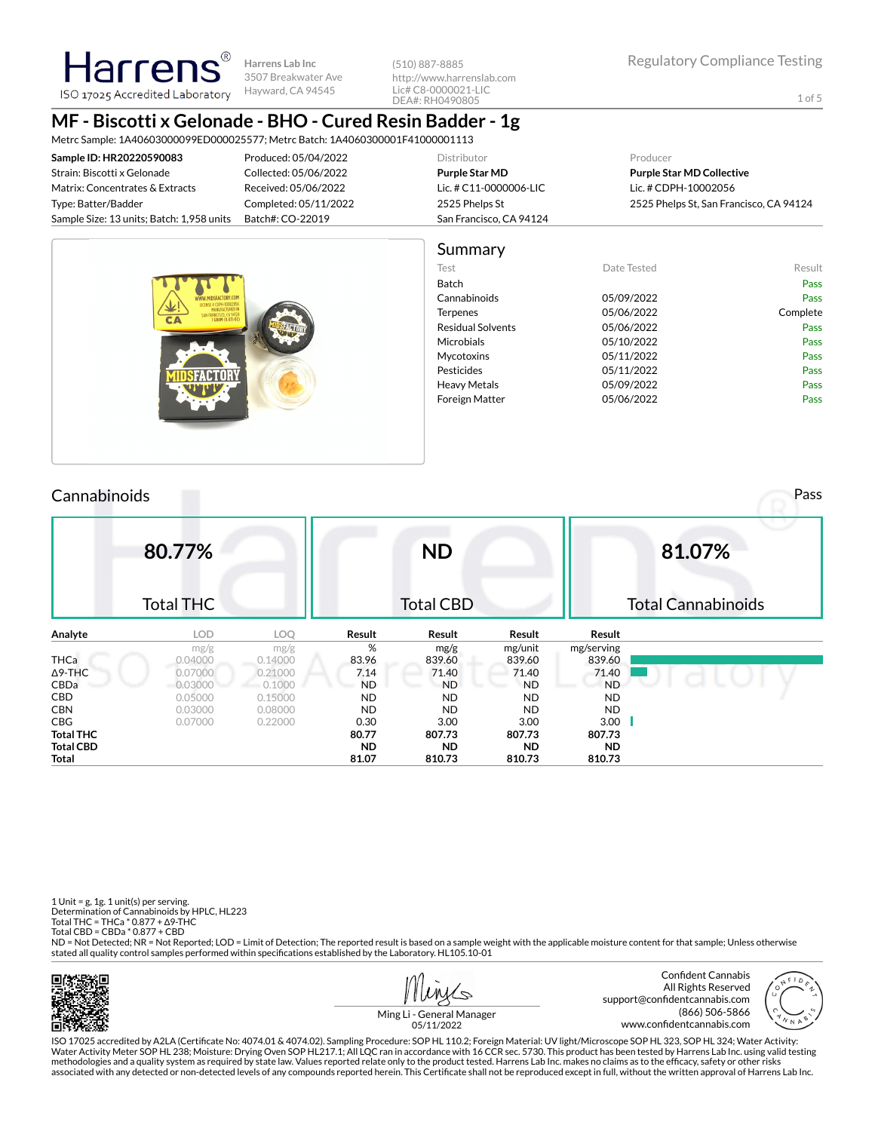Harrer **Harrens Lab Inc** 3507 Breakwater Ave Hayward, CA 94545 ISO 17025 Accredited Laboratory

(510) 887-8885 http://www.harrenslab.com Lic# C8-0000021-LIC DEA#: RH0490805

1 of 5

# **MF - Biscotti x Gelonade - BHO - Cured Resin Badder - 1g**

Metrc Sample: 1A40603000099ED000025577; Metrc Batch: 1A4060300001F41000001113

| Sample ID: HR20220590083                  | Produced: 05/04/2022  | Distributor             | Producer                                |
|-------------------------------------------|-----------------------|-------------------------|-----------------------------------------|
| Strain: Biscotti x Gelonade               | Collected: 05/06/2022 | Purple Star MD          | <b>Purple Star MD Collective</b>        |
| Matrix: Concentrates & Extracts           | Received: 05/06/2022  | Lic. # C11-0000006-LIC  | Lic. # CDPH-10002056                    |
| Type: Batter/Badder                       | Completed: 05/11/2022 | 2525 Phelps St          | 2525 Phelps St, San Francisco, CA 94124 |
| Sample Size: 13 units; Batch: 1,958 units | Batch#: CO-22019      | San Francisco, CA 94124 |                                         |
|                                           |                       |                         |                                         |





## Cannabinoids Pass

|                  | 80.77%           |         |           | <b>ND</b> |           |            | 81.07%                    |
|------------------|------------------|---------|-----------|-----------|-----------|------------|---------------------------|
|                  | <b>Total THC</b> |         |           | Total CBD |           |            | <b>Total Cannabinoids</b> |
| Analyte          | LOD.             | LOQ     | Result    | Result    | Result    | Result     |                           |
|                  | mg/g             | mg/g    | %         | mg/g      | mg/unit   | mg/serving |                           |
| <b>THCa</b>      | 0.04000          | 0.14000 | 83.96     | 839.60    | 839.60    | 839.60     |                           |
| $\Delta$ 9-THC   | 0.07000          | 0.21000 | 7.14      | 71.40     | 71.40     | 71.40      |                           |
| CBDa             | 0.03000          | 0.1000  | <b>ND</b> | <b>ND</b> | <b>ND</b> | <b>ND</b>  |                           |
| <b>CBD</b>       | 0.05000          | 0.15000 | <b>ND</b> | <b>ND</b> | <b>ND</b> | <b>ND</b>  |                           |
| <b>CBN</b>       | 0.03000          | 0.08000 | <b>ND</b> | <b>ND</b> | <b>ND</b> | ND.        |                           |
| CBG              | 0.07000          | 0.22000 | 0.30      | 3.00      | 3.00      | 3.00       |                           |
| <b>Total THC</b> |                  |         | 80.77     | 807.73    | 807.73    | 807.73     |                           |
| <b>Total CBD</b> |                  |         | <b>ND</b> | <b>ND</b> | <b>ND</b> | <b>ND</b>  |                           |
| <b>Total</b>     |                  |         | 81.07     | 810.73    | 810.73    | 810.73     |                           |

1 Unit = g, 1g. 1 unit(s) per serving. Determination of Cannabinoids by HPLC, HL223 Total THC = THCa \* 0.877 + ∆9-THC Total CBD = CBDa \* 0.877 + CBD

ND = Not Detected; NR = Not Reported; LOD = Limit of Detection; The reported result is based on a sample weight with the applicable moisture content for that sample; Unless otherwise stated all quality control samples performed within specifications established by the Laboratory. HL105.10-01







Ming Li - General Manager 05/11/2022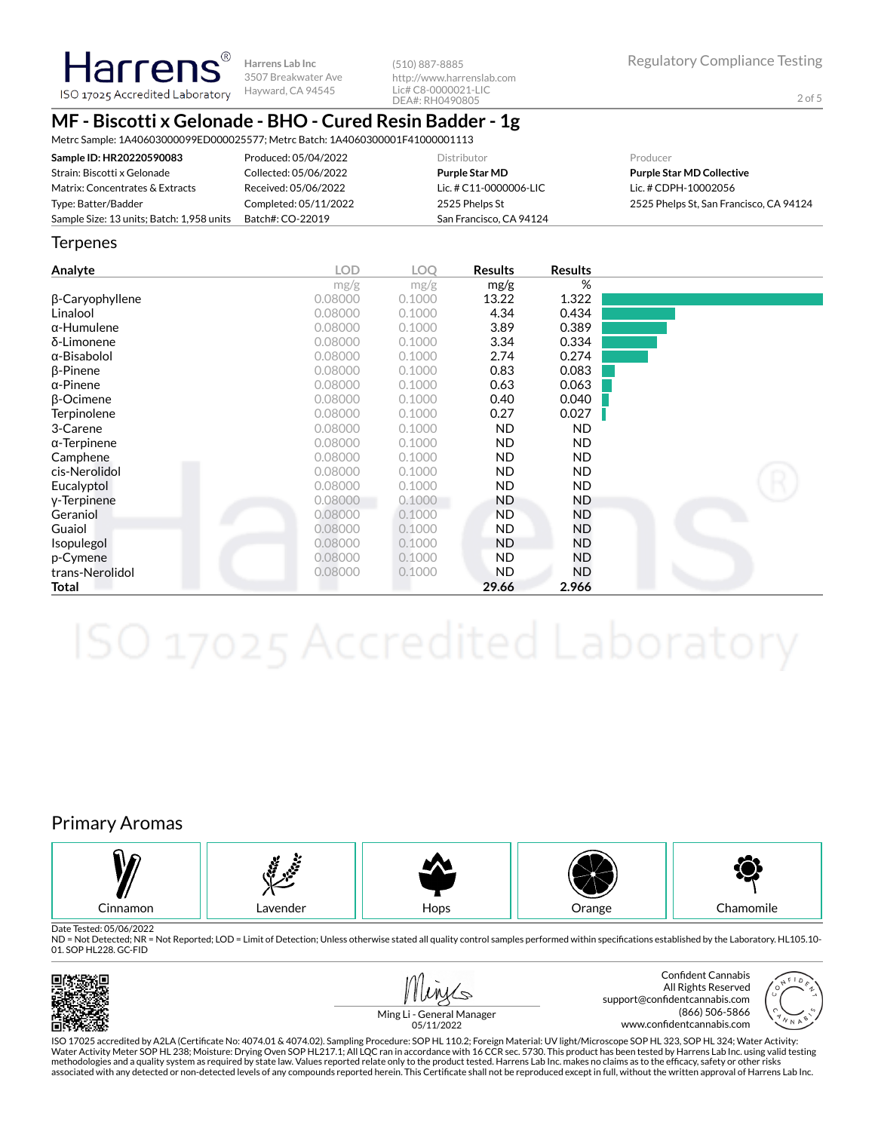**Harrens Lab Inc** 3507 Breakwater Ave ISO 17025 Accredited Laboratory Hayward, CA 94545

(510) 887-8885 http://www.harrenslab.com Lic# C8-0000021-LIC DEA#: RH0490805

## **MF - Biscotti x Gelonade - BHO - Cured Resin Badder - 1g**

Metrc Sample: 1A40603000099ED000025577; Metrc Batch: 1A4060300001F41000001113

| Sample ID: HR20220590083                  | Produced: 05/04/2022  | Distributor             | Producer                                |
|-------------------------------------------|-----------------------|-------------------------|-----------------------------------------|
| Strain: Biscotti x Gelonade               | Collected: 05/06/2022 | <b>Purple Star MD</b>   | <b>Purple Star MD Collective</b>        |
| Matrix: Concentrates & Extracts           | Received: 05/06/2022  | Lic. # C11-0000006-LIC  | Lic. # CDPH-10002056                    |
| Type: Batter/Badder                       | Completed: 05/11/2022 | 2525 Phelps St          | 2525 Phelps St. San Francisco, CA 94124 |
| Sample Size: 13 units; Batch: 1,958 units | Batch#: CO-22019      | San Francisco, CA 94124 |                                         |

### **Terpenes**

**Harrens** 

| Analyte                | <b>LOD</b> | <b>LOO</b> | <b>Results</b> | <b>Results</b> |  |
|------------------------|------------|------------|----------------|----------------|--|
|                        | mg/g       | mg/g       | mg/g           | %              |  |
| $\beta$ -Caryophyllene | 0.08000    | 0.1000     | 13.22          | 1.322          |  |
| Linalool               | 0.08000    | 0.1000     | 4.34           | 0.434          |  |
| $\alpha$ -Humulene     | 0.08000    | 0.1000     | 3.89           | 0.389          |  |
| δ-Limonene             | 0.08000    | 0.1000     | 3.34           | 0.334          |  |
| $\alpha$ -Bisabolol    | 0.08000    | 0.1000     | 2.74           | 0.274          |  |
| $\beta$ -Pinene        | 0.08000    | 0.1000     | 0.83           | 0.083          |  |
| $\alpha$ -Pinene       | 0.08000    | 0.1000     | 0.63           | 0.063          |  |
| <b>B-Ocimene</b>       | 0.08000    | 0.1000     | 0.40           | 0.040          |  |
| Terpinolene            | 0.08000    | 0.1000     | 0.27           | 0.027          |  |
| 3-Carene               | 0.08000    | 0.1000     | <b>ND</b>      | ND.            |  |
| $\alpha$ -Terpinene    | 0.08000    | 0.1000     | <b>ND</b>      | ND.            |  |
| Camphene               | 0.08000    | 0.1000     | <b>ND</b>      | ND.            |  |
| cis-Nerolidol          | 0.08000    | 0.1000     | <b>ND</b>      | ND.            |  |
| Eucalyptol             | 0.08000    | 0.1000     | <b>ND</b>      | ND.            |  |
| y-Terpinene            | 0.08000    | 0.1000     | <b>ND</b>      | ND.            |  |
| Geraniol               | 0.08000    | 0.1000     | <b>ND</b>      | ND             |  |
| Guaiol                 | 0.08000    | 0.1000     | <b>ND</b>      | ND             |  |
| <b>Isopulegol</b>      | 0.08000    | 0.1000     | <b>ND</b>      | ND             |  |
| p-Cymene               | 0.08000    | 0.1000     | <b>ND</b>      | ND             |  |
| trans-Nerolidol        | 0.08000    | 0.1000     | <b>ND</b>      | ND.            |  |
| Total                  |            |            | 29.66          | 2.966          |  |

## Primary Aromas



Date Tested: 05/06/2022

ND = Not Detected; NR = Not Reported; LOD = Limit of Detection; Unless otherwise stated all quality control samples performed within specifications established by the Laboratory. HL105.10-01. SOP HL228. GC-FID







Ming Li - General Manager 05/11/2022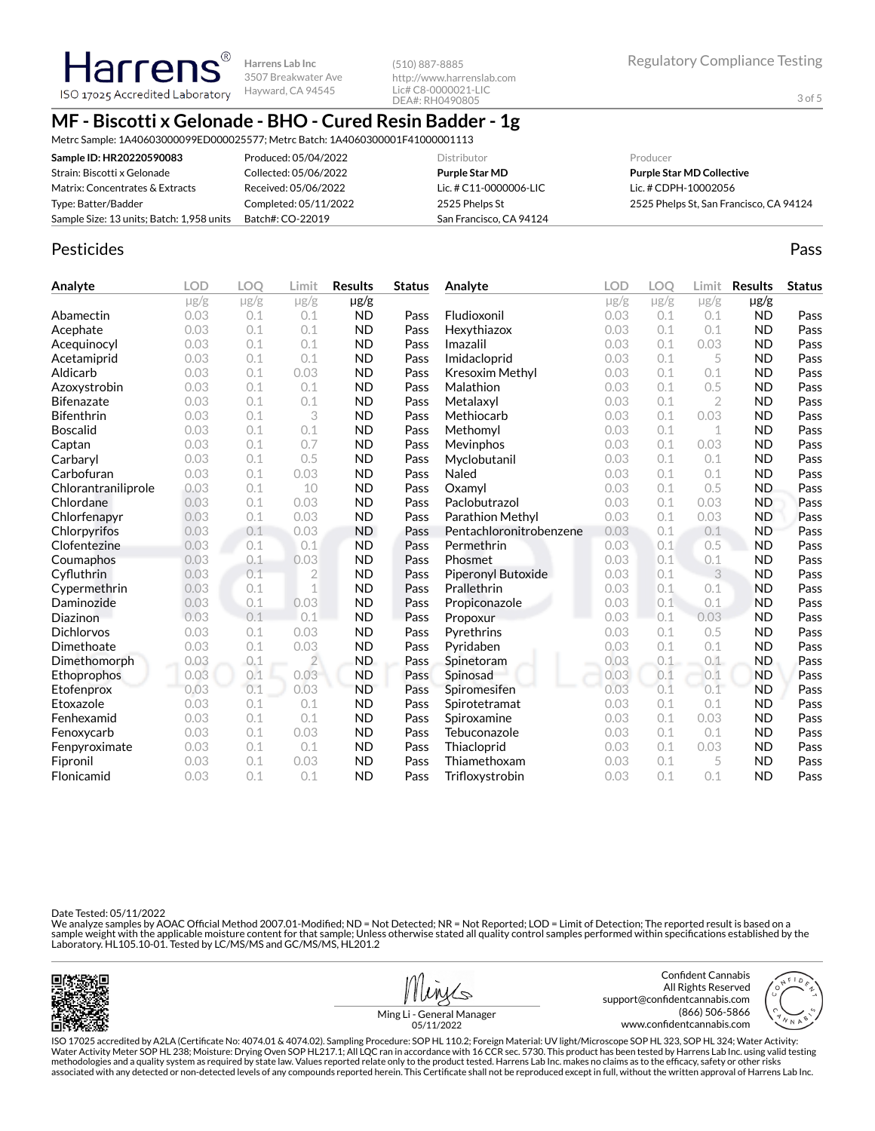# **MF - Biscotti x Gelonade - BHO - Cured Resin Badder - 1g**

**Harrens Lab Inc** 3507 Breakwater Ave Hayward, CA 94545

Metrc Sample: 1A40603000099ED000025577; Metrc Batch: 1A4060300001F41000001113

| Sample ID: HR20220590083                  | Produced: 05/04/2022  | Distributor             | Producer                                |
|-------------------------------------------|-----------------------|-------------------------|-----------------------------------------|
| Strain: Biscotti x Gelonade               | Collected: 05/06/2022 | <b>Purple Star MD</b>   | <b>Purple Star MD Collective</b>        |
| Matrix: Concentrates & Extracts           | Received: 05/06/2022  | Lic. # C11-0000006-LIC  | Lic. # CDPH-10002056                    |
| Type: Batter/Badder                       | Completed: 05/11/2022 | 2525 Phelps St          | 2525 Phelps St, San Francisco, CA 94124 |
| Sample Size: 13 units; Batch: 1,958 units | Batch#: CO-22019      | San Francisco, CA 94124 |                                         |

(510) 887-8885

http://www.harrenslab.com Lic# C8-0000021-LIC DEA#: RH0490805

## Pesticides **Passage Community Community Community** Passes and the extension of the extension of the extension of the extension of the extension of the extension of the extension of the extension of the extension of the ext

Harren

ISO 17025 Accredited Laboratory

| Analyte             | <b>LOD</b> | LOO       | Limit          | <b>Results</b> | <b>Status</b> | Analyte                 | <b>LOD</b> | LOO       | Limit          | <b>Results</b> | <b>Status</b> |
|---------------------|------------|-----------|----------------|----------------|---------------|-------------------------|------------|-----------|----------------|----------------|---------------|
|                     | $\mu$ g/g  | $\mu$ g/g | $\mu$ g/g      | $\mu$ g/g      |               |                         | $\mu$ g/g  | $\mu$ g/g | $\mu$ g/g      | $\mu$ g/g      |               |
| Abamectin           | 0.03       | 0.1       | 0.1            | <b>ND</b>      | Pass          | Fludioxonil             | 0.03       | 0.1       | 0.1            | <b>ND</b>      | Pass          |
| Acephate            | 0.03       | 0.1       | 0.1            | <b>ND</b>      | Pass          | Hexythiazox             | 0.03       | 0.1       | 0.1            | <b>ND</b>      | Pass          |
| Acequinocyl         | 0.03       | 0.1       | 0.1            | <b>ND</b>      | Pass          | Imazalil                | 0.03       | 0.1       | 0.03           | <b>ND</b>      | Pass          |
| Acetamiprid         | 0.03       | 0.1       | 0.1            | <b>ND</b>      | Pass          | Imidacloprid            | 0.03       | 0.1       | 5              | <b>ND</b>      | Pass          |
| Aldicarb            | 0.03       | 0.1       | 0.03           | <b>ND</b>      | Pass          | Kresoxim Methyl         | 0.03       | 0.1       | 0.1            | <b>ND</b>      | Pass          |
| Azoxystrobin        | 0.03       | 0.1       | 0.1            | <b>ND</b>      | Pass          | Malathion               | 0.03       | 0.1       | 0.5            | <b>ND</b>      | Pass          |
| <b>Bifenazate</b>   | 0.03       | 0.1       | 0.1            | <b>ND</b>      | Pass          | Metalaxyl               | 0.03       | 0.1       | $\overline{2}$ | <b>ND</b>      | Pass          |
| <b>Bifenthrin</b>   | 0.03       | 0.1       | 3              | <b>ND</b>      | Pass          | Methiocarb              | 0.03       | 0.1       | 0.03           | <b>ND</b>      | Pass          |
| <b>Boscalid</b>     | 0.03       | 0.1       | 0.1            | <b>ND</b>      | Pass          | Methomyl                | 0.03       | 0.1       | 1              | <b>ND</b>      | Pass          |
| Captan              | 0.03       | 0.1       | 0.7            | <b>ND</b>      | Pass          | Mevinphos               | 0.03       | 0.1       | 0.03           | <b>ND</b>      | Pass          |
| Carbaryl            | 0.03       | 0.1       | 0.5            | <b>ND</b>      | Pass          | Myclobutanil            | 0.03       | 0.1       | 0.1            | <b>ND</b>      | Pass          |
| Carbofuran          | 0.03       | 0.1       | 0.03           | <b>ND</b>      | Pass          | Naled                   | 0.03       | 0.1       | 0.1            | <b>ND</b>      | Pass          |
| Chlorantraniliprole | 0.03       | 0.1       | 10             | <b>ND</b>      | Pass          | Oxamyl                  | 0.03       | 0.1       | 0.5            | <b>ND</b>      | Pass          |
| Chlordane           | 0.03       | 0.1       | 0.03           | <b>ND</b>      | Pass          | Paclobutrazol           | 0.03       | 0.1       | 0.03           | <b>ND</b>      | Pass          |
| Chlorfenapyr        | 0.03       | 0.1       | 0.03           | <b>ND</b>      | Pass          | Parathion Methyl        | 0.03       | 0.1       | 0.03           | <b>ND</b>      | Pass          |
| Chlorpyrifos        | 0.03       | 0.1       | 0.03           | <b>ND</b>      | Pass          | Pentachloronitrobenzene | 0.03       | 0.1       | 0.1            | <b>ND</b>      | Pass          |
| Clofentezine        | 0.03       | 0.1       | 0.1            | <b>ND</b>      | Pass          | Permethrin              | 0.03       | 0.1       | 0.5            | <b>ND</b>      | Pass          |
| Coumaphos           | 0.03       | 0.1       | 0.03           | <b>ND</b>      | Pass          | Phosmet                 | 0.03       | 0.1       | 0.1            | <b>ND</b>      | Pass          |
| Cyfluthrin          | 0.03       | 0.1       | $\overline{2}$ | <b>ND</b>      | Pass          | Piperonyl Butoxide      | 0.03       | 0.1       | 3              | <b>ND</b>      | Pass          |
| Cypermethrin        | 0.03       | 0.1       | 1              | <b>ND</b>      | Pass          | Prallethrin             | 0.03       | 0.1       | 0.1            | <b>ND</b>      | Pass          |
| Daminozide          | 0.03       | 0.1       | 0.03           | <b>ND</b>      | Pass          | Propiconazole           | 0.03       | 0.1       | 0.1            | <b>ND</b>      | Pass          |
| Diazinon            | 0.03       | 0.1       | 0.1            | <b>ND</b>      | Pass          | Propoxur                | 0.03       | 0.1       | 0.03           | <b>ND</b>      | Pass          |
| <b>Dichlorvos</b>   | 0.03       | 0.1       | 0.03           | <b>ND</b>      | Pass          | Pyrethrins              | 0.03       | 0.1       | 0.5            | <b>ND</b>      | Pass          |
| Dimethoate          | 0.03       | 0.1       | 0.03           | <b>ND</b>      | Pass          | Pyridaben               | 0.03       | 0.1       | 0.1            | <b>ND</b>      | Pass          |
| Dimethomorph        | 0.03       | 0.1       | $\overline{2}$ | ND.            | Pass          | Spinetoram              | 0.03       | 0.1       | 0.1            | <b>ND</b>      | Pass          |
| Ethoprophos         | 0.03       | 0.1       | 0.03           | <b>ND</b>      | Pass          | Spinosad                | 0.03       | 0.1       | 0.1            | <b>ND</b>      | Pass          |
| Etofenprox          | 0.03       | 0.1       | 0.03           | <b>ND</b>      | Pass          | Spiromesifen            | 0.03       | 0.1       | 0.1            | <b>ND</b>      | Pass          |
| Etoxazole           | 0.03       | 0.1       | 0.1            | <b>ND</b>      | Pass          | Spirotetramat           | 0.03       | 0.1       | 0.1            | <b>ND</b>      | Pass          |
| Fenhexamid          | 0.03       | 0.1       | 0.1            | <b>ND</b>      | Pass          | Spiroxamine             | 0.03       | 0.1       | 0.03           | <b>ND</b>      | Pass          |
| Fenoxycarb          | 0.03       | 0.1       | 0.03           | <b>ND</b>      | Pass          | Tebuconazole            | 0.03       | 0.1       | 0.1            | <b>ND</b>      | Pass          |
| Fenpyroximate       | 0.03       | 0.1       | 0.1            | <b>ND</b>      | Pass          | Thiacloprid             | 0.03       | 0.1       | 0.03           | <b>ND</b>      | Pass          |
| Fipronil            | 0.03       | 0.1       | 0.03           | <b>ND</b>      | Pass          | Thiamethoxam            | 0.03       | 0.1       | 5              | <b>ND</b>      | Pass          |
| Flonicamid          | 0.03       | 0.1       | 0.1            | <b>ND</b>      | Pass          | Trifloxystrobin         | 0.03       | 0.1       | 0.1            | <b>ND</b>      | Pass          |

Date Tested: 05/11/2022

We analyze samples by AOAC Official Method 2007.01-Modified; ND = Not Detected; NR = Not Reported; LOD = Limit of Detection; The reported result is based on a sample weight with the applicable moisture content for that sample; Unless otherwise stated all quality control samples performed within specifications established by the<br>Laboratory. HL105.10-01. Tested by LC/MS/MS and GC/





www.confidentcannabis.com



Ming Li - General Manager 05/11/2022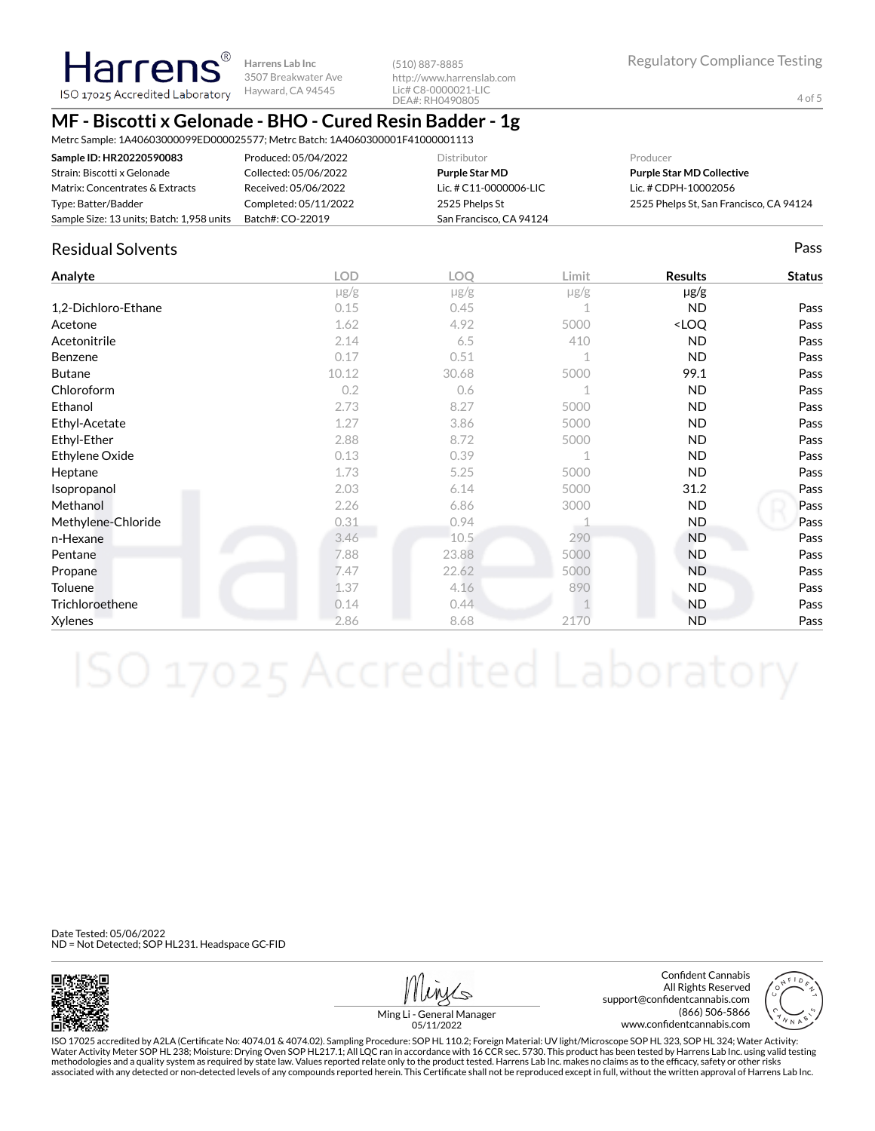## **MF - Biscotti x Gelonade - BHO - Cured Resin Badder - 1g**

**Harrens Lab Inc** 3507 Breakwater Ave Hayward, CA 94545

Metrc Sample: 1A40603000099ED000025577; Metrc Batch: 1A4060300001F41000001113

| Sample ID: HR20220590083                  | Produced: 05/04/2022  | <b>Distributor</b>      | Producer                                |
|-------------------------------------------|-----------------------|-------------------------|-----------------------------------------|
| Strain: Biscotti x Gelonade               | Collected: 05/06/2022 | Purple Star MD          | <b>Purple Star MD Collective</b>        |
| Matrix: Concentrates & Extracts           | Received: 05/06/2022  | Lic. # C11-0000006-LIC  | Lic. # CDPH-10002056                    |
| Type: Batter/Badder                       | Completed: 05/11/2022 | 2525 Phelps St          | 2525 Phelps St, San Francisco, CA 94124 |
| Sample Size: 13 units; Batch: 1,958 units | Batch#: CO-22019      | San Francisco, CA 94124 |                                         |

(510) 887-8885

http://www.harrenslab.com Lic# C8-0000021-LIC DEA#: RH0490805

### Residual Solvents Pass

**Harrens** ISO 17025 Accredited Laboratory

| Analyte             | <b>LOD</b> | <b>LOO</b> | Limit       | <b>Results</b>                   | <b>Status</b> |
|---------------------|------------|------------|-------------|----------------------------------|---------------|
|                     | $\mu$ g/g  | $\mu$ g/g  | $\mu$ g/g   | $\mu$ g/g                        |               |
| 1,2-Dichloro-Ethane | 0.15       | 0.45       | 1           | ND.                              | Pass          |
| Acetone             | 1.62       | 4.92       | 5000        | <loq< td=""><td>Pass</td></loq<> | Pass          |
| Acetonitrile        | 2.14       | 6.5        | 410         | <b>ND</b>                        | Pass          |
| Benzene             | 0.17       | 0.51       | $\mathbf 1$ | <b>ND</b>                        | Pass          |
| <b>Butane</b>       | 10.12      | 30.68      | 5000        | 99.1                             | Pass          |
| Chloroform          | 0.2        | 0.6        | 1           | <b>ND</b>                        | Pass          |
| Ethanol             | 2.73       | 8.27       | 5000        | ND.                              | Pass          |
| Ethyl-Acetate       | 1.27       | 3.86       | 5000        | ND.                              | Pass          |
| Ethyl-Ether         | 2.88       | 8.72       | 5000        | <b>ND</b>                        | Pass          |
| Ethylene Oxide      | 0.13       | 0.39       | 1           | ND.                              | Pass          |
| Heptane             | 1.73       | 5.25       | 5000        | ND.                              | Pass          |
| Isopropanol         | 2.03       | 6.14       | 5000        | 31.2                             | Pass          |
| Methanol            | 2.26       | 6.86       | 3000        | ND.                              | Pass          |
| Methylene-Chloride  | 0.31       | 0.94       |             | ND.                              | Pass          |
| n-Hexane            | 3.46       | 10.5       | 290         | <b>ND</b>                        | Pass          |
| Pentane             | 7.88       | 23.88      | 5000        | <b>ND</b>                        | Pass          |
| Propane             | 7.47       | 22.62      | 5000        | <b>ND</b>                        | Pass          |
| Toluene             | 1.37       | 4.16       | 890         | <b>ND</b>                        | Pass          |
| Trichloroethene     | 0.14       | 0.44       |             | ND.                              | Pass          |
| Xylenes             | 2.86       | 8.68       | 2170        | <b>ND</b>                        | Pass          |

Date Tested: 05/06/2022 ND = Not Detected; SOP HL231. Headspace GC-FID



Confident Cannabis All Rights Reserved support@confidentcannabis.com (866) 506-5866 www.confidentcannabis.com



Ming Li - General Manager 05/11/2022